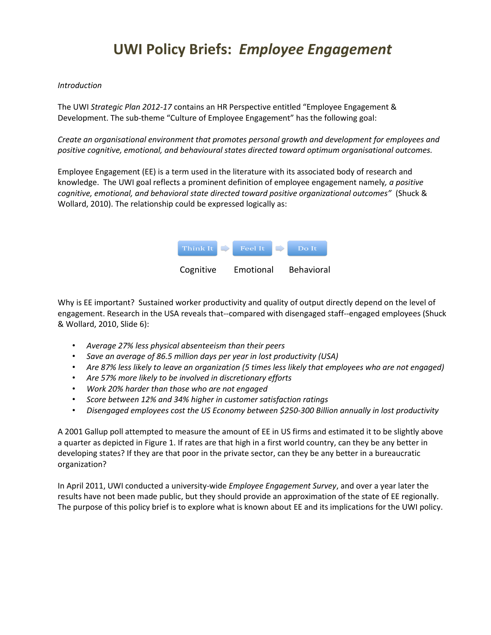# **UWI Policy Briefs:** *Employee Engagement*

#### *Introduction*

The UWI *Strategic Plan 2012-17* contains an HR Perspective entitled "Employee Engagement & Development. The sub-theme "Culture of Employee Engagement" has the following goal:

*Create an organisational environment that promotes personal growth and development for employees and positive cognitive, emotional, and behavioural states directed toward optimum organisational outcomes.* 

Employee Engagement (EE) is a term used in the literature with its associated body of research and knowledge. The UWI goal reflects a prominent definition of employee engagement namely*, a positive cognitive, emotional, and behavioral state directed toward positive organizational outcomes"* (Shuck & Wollard, 2010). The relationship could be expressed logically as:



Why is EE important? Sustained worker productivity and quality of output directly depend on the level of engagement. Research in the USA reveals that--compared with disengaged staff--engaged employees (Shuck & Wollard, 2010, Slide 6):

- *Average 27% less physical absenteeism than their peers*
- *Save an average of 86.5 million days per year in lost productivity (USA)*
- *Are 87% less likely to leave an organization (5 times less likely that employees who are not engaged)*
- *Are 57% more likely to be involved in discretionary efforts*
- *Work 20% harder than those who are not engaged*
- *Score between 12% and 34% higher in customer satisfaction ratings*
- *Disengaged employees cost the US Economy between \$250-300 Billion annually in lost productivity*

A 2001 Gallup poll attempted to measure the amount of EE in US firms and estimated it to be slightly above a quarter as depicted in Figure 1. If rates are that high in a first world country, can they be any better in developing states? If they are that poor in the private sector, can they be any better in a bureaucratic organization?

In April 2011, UWI conducted a university-wide *Employee Engagement Survey*, and over a year later the results have not been made public, but they should provide an approximation of the state of EE regionally. The purpose of this policy brief is to explore what is known about EE and its implications for the UWI policy.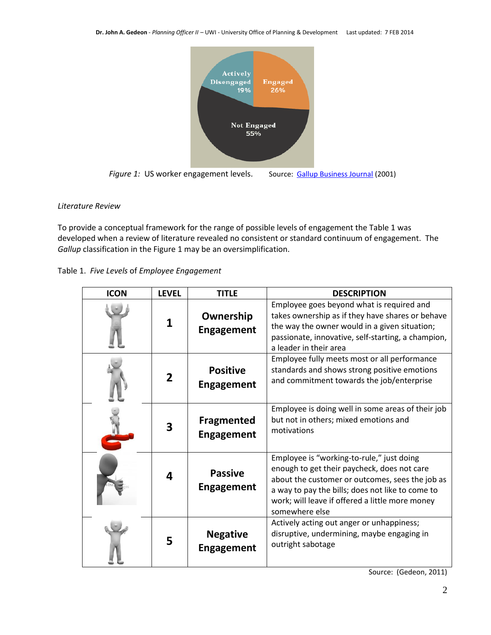

#### *Literature Review*

To provide a conceptual framework for the range of possible levels of engagement the Table 1 was developed when a review of literature revealed no consistent or standard continuum of engagement. The *Gallup* classification in the Figure 1 may be an oversimplification.

Table 1. *Five Levels* of *Employee Engagement* 

| <b>ICON</b> | <b>LEVEL</b> | <b>TITLE</b>                           | <b>DESCRIPTION</b>                                                                                                                                                                                                                                                   |  |  |
|-------------|--------------|----------------------------------------|----------------------------------------------------------------------------------------------------------------------------------------------------------------------------------------------------------------------------------------------------------------------|--|--|
|             |              | Ownership<br><b>Engagement</b>         | Employee goes beyond what is required and<br>takes ownership as if they have shares or behave<br>the way the owner would in a given situation;<br>passionate, innovative, self-starting, a champion,<br>a leader in their area                                       |  |  |
|             | 2            | <b>Positive</b><br><b>Engagement</b>   | Employee fully meets most or all performance<br>standards and shows strong positive emotions<br>and commitment towards the job/enterprise                                                                                                                            |  |  |
|             | 3            | <b>Fragmented</b><br><b>Engagement</b> | Employee is doing well in some areas of their job<br>but not in others; mixed emotions and<br>motivations                                                                                                                                                            |  |  |
|             | 4            | <b>Passive</b><br><b>Engagement</b>    | Employee is "working-to-rule," just doing<br>enough to get their paycheck, does not care<br>about the customer or outcomes, sees the job as<br>a way to pay the bills; does not like to come to<br>work; will leave if offered a little more money<br>somewhere else |  |  |
|             | 5            | <b>Negative</b><br><b>Engagement</b>   | Actively acting out anger or unhappiness;<br>disruptive, undermining, maybe engaging in<br>outright sabotage                                                                                                                                                         |  |  |

Source: (Gedeon, 2011)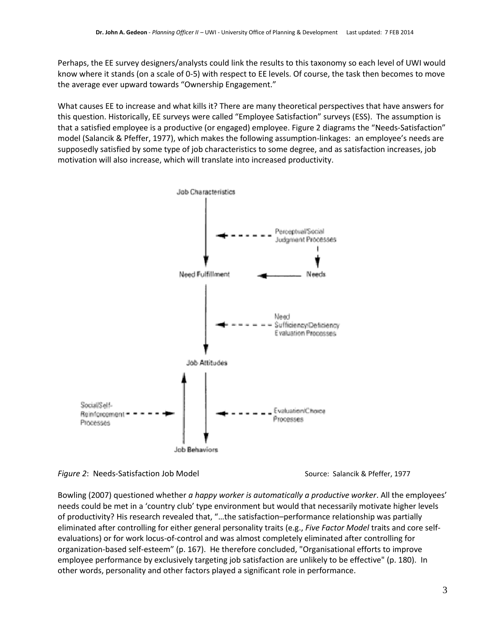Perhaps, the EE survey designers/analysts could link the results to this taxonomy so each level of UWI would know where it stands (on a scale of 0-5) with respect to EE levels. Of course, the task then becomes to move the average ever upward towards "Ownership Engagement."

What causes EE to increase and what kills it? There are many theoretical perspectives that have answers for this question. Historically, EE surveys were called "Employee Satisfaction" surveys (ESS). The assumption is that a satisfied employee is a productive (or engaged) employee. Figure 2 diagrams the "Needs-Satisfaction" model (Salancik & Pfeffer, 1977), which makes the following assumption-linkages: an employee's needs are supposedly satisfied by some type of job characteristics to some degree, and as satisfaction increases, job motivation will also increase, which will translate into increased productivity.





Bowling (2007) questioned whether *a happy worker is automatically a productive worker*. All the employees' needs could be met in a 'country club' type environment but would that necessarily motivate higher levels of productivity? His research revealed that, "…the satisfaction–performance relationship was partially eliminated after controlling for either general personality traits (e.g., *Five Factor Model* traits and core selfevaluations) or for work locus-of-control and was almost completely eliminated after controlling for organization-based self-esteem" (p. 167). He therefore concluded, "Organisational efforts to improve employee performance by exclusively targeting job satisfaction are unlikely to be effective" (p. 180). In other words, personality and other factors played a significant role in performance.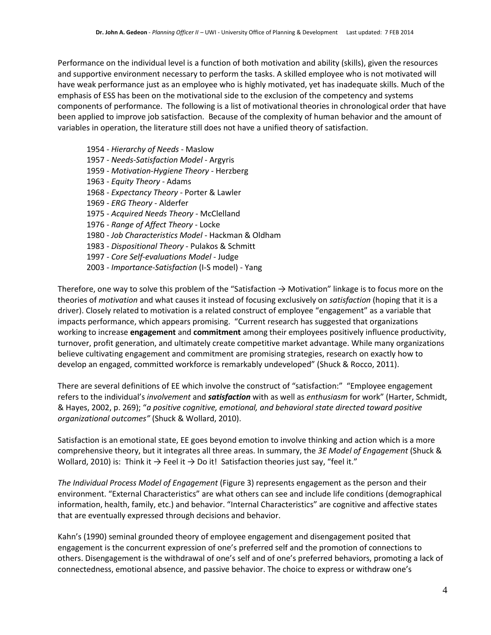Performance on the individual level is a function of both motivation and ability (skills), given the resources and supportive environment necessary to perform the tasks. A skilled employee who is not motivated will have weak performance just as an employee who is highly motivated, yet has inadequate skills. Much of the emphasis of ESS has been on the motivational side to the exclusion of the competency and systems components of performance. The following is a list of motivational theories in chronological order that have been applied to improve job satisfaction. Because of the complexity of human behavior and the amount of variables in operation, the literature still does not have a unified theory of satisfaction.

1954 - *Hierarchy of Needs* - Maslow 1957 - *Needs-Satisfaction Model* - Argyris 1959 - *Motivation-Hygiene Theory* - Herzberg 1963 - *Equity Theory* - Adams 1968 - *Expectancy Theory* - Porter & Lawler 1969 - *ERG Theory* - Alderfer 1975 - *Acquired Needs Theory* - McClelland 1976 - *Range of Affect Theory* - Locke 1980 - *Job Characteristics Model* - Hackman & Oldham 1983 - *Dispositional Theory* - Pulakos & Schmitt 1997 - *Core Self-evaluations Model* - Judge 2003 - *Importance-Satisfaction* (I-S model) - Yang

Therefore, one way to solve this problem of the "Satisfaction  $\rightarrow$  Motivation" linkage is to focus more on the theories of *motivation* and what causes it instead of focusing exclusively on *satisfaction* (hoping that it is a driver). Closely related to motivation is a related construct of employee "engagement" as a variable that impacts performance, which appears promising. "Current research has suggested that organizations working to increase **engagement** and **commitment** among their employees positively influence productivity, turnover, profit generation, and ultimately create competitive market advantage. While many organizations believe cultivating engagement and commitment are promising strategies, research on exactly how to develop an engaged, committed workforce is remarkably undeveloped" (Shuck & Rocco, 2011).

There are several definitions of EE which involve the construct of "satisfaction:" "Employee engagement refers to the individual's *involvement* and *satisfaction* with as well as *enthusiasm* for work" (Harter, Schmidt, & Hayes, 2002, p. 269); "*a positive cognitive, emotional, and behavioral state directed toward positive organizational outcomes"* (Shuck & Wollard, 2010).

Satisfaction is an emotional state, EE goes beyond emotion to involve thinking and action which is a more comprehensive theory, but it integrates all three areas. In summary, the *3E Model of Engagement* (Shuck & Wollard, 2010) is: Think it  $\rightarrow$  Feel it  $\rightarrow$  Do it! Satisfaction theories just say, "feel it."

*The Individual Process Model of Engagement* (Figure 3) represents engagement as the person and their environment. "External Characteristics" are what others can see and include life conditions (demographical information, health, family, etc.) and behavior. "Internal Characteristics" are cognitive and affective states that are eventually expressed through decisions and behavior.

Kahn's (1990) seminal grounded theory of employee engagement and disengagement posited that engagement is the concurrent expression of one's preferred self and the promotion of connections to others. Disengagement is the withdrawal of one's self and of one's preferred behaviors, promoting a lack of connectedness, emotional absence, and passive behavior. The choice to express or withdraw one's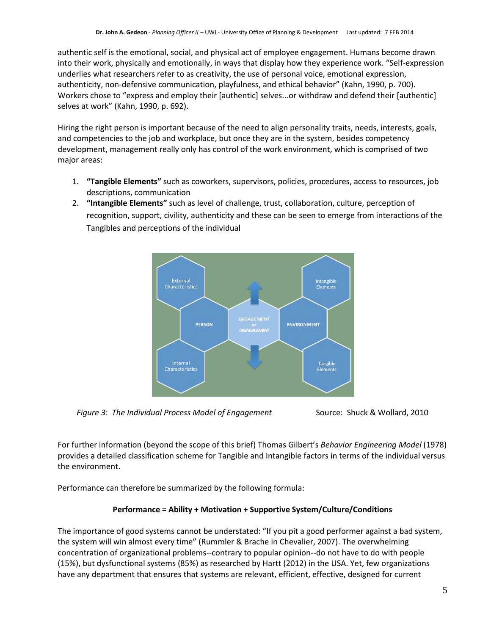authentic self is the emotional, social, and physical act of employee engagement. Humans become drawn into their work, physically and emotionally, in ways that display how they experience work. "Self-expression underlies what researchers refer to as creativity, the use of personal voice, emotional expression, authenticity, non-defensive communication, playfulness, and ethical behavior" (Kahn, 1990, p. 700). Workers chose to "express and employ their [authentic] selves...or withdraw and defend their [authentic] selves at work" (Kahn, 1990, p. 692).

Hiring the right person is important because of the need to align personality traits, needs, interests, goals, and competencies to the job and workplace, but once they are in the system, besides competency development, management really only has control of the work environment, which is comprised of two major areas:

- 1. **"Tangible Elements"** such as coworkers, supervisors, policies, procedures, access to resources, job descriptions, communication
- 2. **"Intangible Elements"** such as level of challenge, trust, collaboration, culture, perception of recognition, support, civility, authenticity and these can be seen to emerge from interactions of the Tangibles and perceptions of the individual



*Figure 3: The Individual Process Model of Engagement* Source: Shuck & Wollard, 2010



For further information (beyond the scope of this brief) Thomas Gilbert's *Behavior Engineering Model* (1978) provides a detailed classification scheme for Tangible and Intangible factors in terms of the individual versus the environment.

Performance can therefore be summarized by the following formula:

### **Performance = Ability + Motivation + Supportive System/Culture/Conditions**

The importance of good systems cannot be understated: "If you pit a good performer against a bad system, the system will win almost every time" (Rummler & Brache in Chevalier, 2007). The overwhelming concentration of organizational problems--contrary to popular opinion--do not have to do with people (15%), but dysfunctional systems (85%) as researched by Hartt (2012) in the USA. Yet, few organizations have any department that ensures that systems are relevant, efficient, effective, designed for current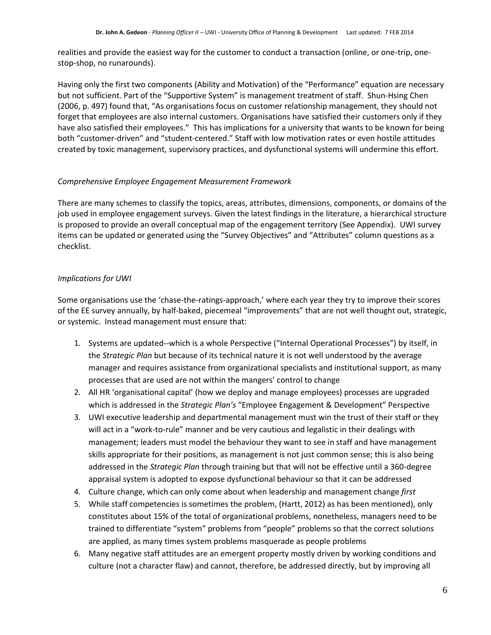realities and provide the easiest way for the customer to conduct a transaction (online, or one-trip, onestop-shop, no runarounds).

Having only the first two components (Ability and Motivation) of the "Performance" equation are necessary but not sufficient. Part of the "Supportive System" is management treatment of staff. Shun-Hsing Chen (2006, p. 497) found that, "As organisations focus on customer relationship management, they should not forget that employees are also internal customers. Organisations have satisfied their customers only if they have also satisfied their employees." This has implications for a university that wants to be known for being both "customer-driven" and "student-centered." Staff with low motivation rates or even hostile attitudes created by toxic management, supervisory practices, and dysfunctional systems will undermine this effort.

#### *Comprehensive Employee Engagement Measurement Framework*

There are many schemes to classify the topics, areas, attributes, dimensions, components, or domains of the job used in employee engagement surveys. Given the latest findings in the literature, a hierarchical structure is proposed to provide an overall conceptual map of the engagement territory (See Appendix). UWI survey items can be updated or generated using the "Survey Objectives" and "Attributes" column questions as a checklist.

#### *Implications for UWI*

Some organisations use the 'chase-the-ratings-approach,' where each year they try to improve their scores of the EE survey annually, by half-baked, piecemeal "improvements" that are not well thought out, strategic, or systemic. Instead management must ensure that:

- 1. Systems are updated--which is a whole Perspective ("Internal Operational Processes") by itself, in the *Strategic Plan* but because of its technical nature it is not well understood by the average manager and requires assistance from organizational specialists and institutional support, as many processes that are used are not within the mangers' control to change
- 2. All HR 'organisational capital' (how we deploy and manage employees) processes are upgraded which is addressed in the *Strategic Plan's* "Employee Engagement & Development" Perspective
- 3. UWI executive leadership and departmental management must win the trust of their staff or they will act in a "work-to-rule" manner and be very cautious and legalistic in their dealings with management; leaders must model the behaviour they want to see in staff and have management skills appropriate for their positions, as management is not just common sense; this is also being addressed in the *Strategic Plan* through training but that will not be effective until a 360-degree appraisal system is adopted to expose dysfunctional behaviour so that it can be addressed
- 4. Culture change, which can only come about when leadership and management change *first*
- 5. While staff competencies is sometimes the problem, (Hartt, 2012) as has been mentioned), only constitutes about 15% of the total of organizational problems, nonetheless, managers need to be trained to differentiate "system" problems from "people" problems so that the correct solutions are applied, as many times system problems masquerade as people problems
- 6. Many negative staff attitudes are an emergent property mostly driven by working conditions and culture (not a character flaw) and cannot, therefore, be addressed directly, but by improving all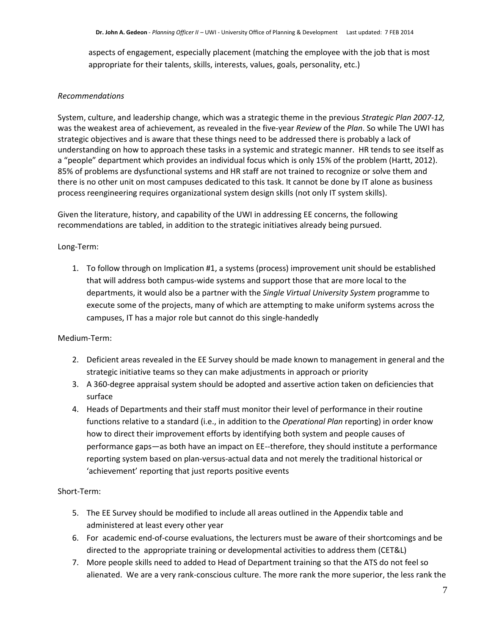aspects of engagement, especially placement (matching the employee with the job that is most appropriate for their talents, skills, interests, values, goals, personality, etc.)

#### *Recommendations*

System, culture, and leadership change, which was a strategic theme in the previous *Strategic Plan 2007-12,* was the weakest area of achievement, as revealed in the five-year *Review* of the *Plan*. So while The UWI has strategic objectives and is aware that these things need to be addressed there is probably a lack of understanding on how to approach these tasks in a systemic and strategic manner. HR tends to see itself as a "people" department which provides an individual focus which is only 15% of the problem (Hartt, 2012). 85% of problems are dysfunctional systems and HR staff are not trained to recognize or solve them and there is no other unit on most campuses dedicated to this task. It cannot be done by IT alone as business process reengineering requires organizational system design skills (not only IT system skills).

Given the literature, history, and capability of the UWI in addressing EE concerns, the following recommendations are tabled, in addition to the strategic initiatives already being pursued.

#### Long-Term:

1. To follow through on Implication #1, a systems (process) improvement unit should be established that will address both campus-wide systems and support those that are more local to the departments, it would also be a partner with the *Single Virtual University System* programme to execute some of the projects, many of which are attempting to make uniform systems across the campuses, IT has a major role but cannot do this single-handedly

#### Medium-Term:

- 2. Deficient areas revealed in the EE Survey should be made known to management in general and the strategic initiative teams so they can make adjustments in approach or priority
- 3. A 360-degree appraisal system should be adopted and assertive action taken on deficiencies that surface
- 4. Heads of Departments and their staff must monitor their level of performance in their routine functions relative to a standard (i.e., in addition to the *Operational Plan* reporting) in order know how to direct their improvement efforts by identifying both system and people causes of performance gaps—as both have an impact on EE--therefore, they should institute a performance reporting system based on plan-versus-actual data and not merely the traditional historical or 'achievement' reporting that just reports positive events

#### Short-Term:

- 5. The EE Survey should be modified to include all areas outlined in the Appendix table and administered at least every other year
- 6. For academic end-of-course evaluations, the lecturers must be aware of their shortcomings and be directed to the appropriate training or developmental activities to address them (CET&L)
- 7. More people skills need to added to Head of Department training so that the ATS do not feel so alienated. We are a very rank-conscious culture. The more rank the more superior, the less rank the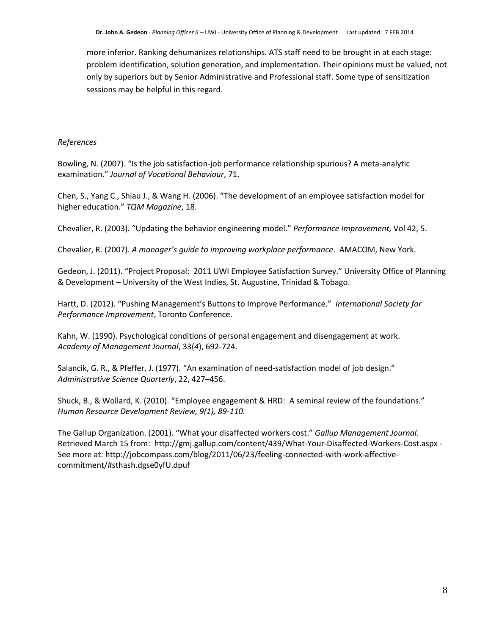more inferior. Ranking dehumanizes relationships. ATS staff need to be brought in at each stage: problem identification, solution generation, and implementation. Their opinions must be valued, not only by superiors but by Senior Administrative and Professional staff. Some type of sensitization sessions may be helpful in this regard.

#### *References*

Bowling, N. (2007). "[Is the job satisfaction-job performance relationship spurious? A meta-analytic](http://dx.doi.org/10.1016/j.jvb.2007.04.007)  [examination.](http://dx.doi.org/10.1016/j.jvb.2007.04.007)" *Journal of Vocational Behaviour*, 71.

Chen, S., Yang C., Shiau J., & Wang H. (2006). "The development of an employee satisfaction model for higher education." *TQM Magazine*, 18.

Chevalier, R. (2003). "Updating the behavior engineering model." *Performance Improvement,* [Vol 42, 5.](http://onlinelibrary.wiley.com/doi/10.1002/pfi.v42:5/issuetoc)

Chevalier, R. (2007). *A manager's guide to improving workplace performance*. AMACOM, New York.

Gedeon, J. (2011). "Project Proposal: 2011 UWI Employee Satisfaction Survey." University Office of Planning & Development – University of the West Indies, St. Augustine, Trinidad & Tobago.

Hartt, D. (2012). "Pushing Management's Buttons to Improve Performance." *International Society for Performance Improvement*, Toronto Conference.

Kahn, W. (1990). Psychological conditions of personal engagement and disengagement at work. *Academy of Management Journal*, 33(*4*), 692-724.

Salancik, G. R., & Pfeffer, J. (1977). "An examination of need-satisfaction model of job design." *Administrative Science Quarterly*, 22, 427–456.

Shuck, B., & Wollard, K. (2010). "Employee engagement & HRD: A seminal review of the foundations." *Human Resource Development Review, 9(1), 89-110.*

The Gallup Organization. (2001). "What your disaffected workers cost." *Gallup Management Journal*. Retrieved March 15 from: http://gmj.gallup.com/content/439/What-Your-Disaffected-Workers-Cost.aspx - See more at: http://jobcompass.com/blog/2011/06/23/feeling-connected-with-work-affectivecommitment/#sthash.dgse0yfU.dpuf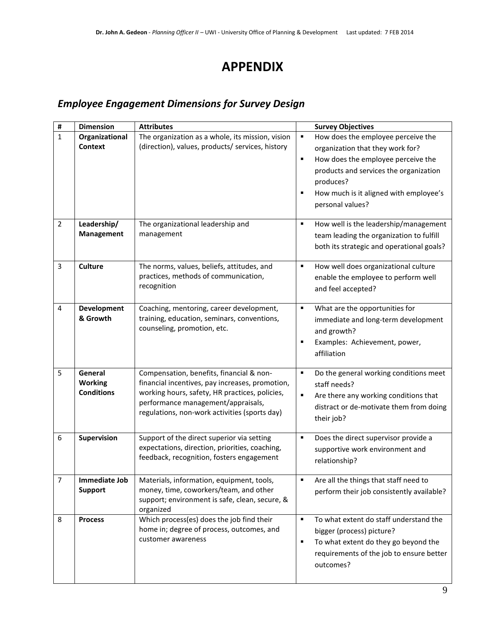## **APPENDIX**

### *Employee Engagement Dimensions for Survey Design*

| #              | <b>Dimension</b>                                                                                                                                                                      | <b>Attributes</b>                                                                                                                                                                                                                    | <b>Survey Objectives</b>                                                                                                                                                                                                                                      |  |
|----------------|---------------------------------------------------------------------------------------------------------------------------------------------------------------------------------------|--------------------------------------------------------------------------------------------------------------------------------------------------------------------------------------------------------------------------------------|---------------------------------------------------------------------------------------------------------------------------------------------------------------------------------------------------------------------------------------------------------------|--|
| $\mathbf 1$    | Organizational<br><b>Context</b>                                                                                                                                                      | The organization as a whole, its mission, vision<br>(direction), values, products/ services, history                                                                                                                                 | How does the employee perceive the<br>$\blacksquare$<br>organization that they work for?<br>How does the employee perceive the<br>П<br>products and services the organization<br>produces?<br>How much is it aligned with employee's<br>Е<br>personal values? |  |
| $\overline{2}$ | Leadership/<br>Management                                                                                                                                                             | The organizational leadership and<br>management                                                                                                                                                                                      | How well is the leadership/management<br>п<br>team leading the organization to fulfill<br>both its strategic and operational goals?                                                                                                                           |  |
| 3              | <b>Culture</b>                                                                                                                                                                        | The norms, values, beliefs, attitudes, and<br>practices, methods of communication,<br>recognition                                                                                                                                    | How well does organizational culture<br>п<br>enable the employee to perform well<br>and feel accepted?                                                                                                                                                        |  |
| 4              | <b>Development</b><br>& Growth                                                                                                                                                        | Coaching, mentoring, career development,<br>training, education, seminars, conventions,<br>counseling, promotion, etc.                                                                                                               | What are the opportunities for<br>п<br>immediate and long-term development<br>and growth?<br>Examples: Achievement, power,<br>Е<br>affiliation                                                                                                                |  |
| 5              | General<br><b>Working</b><br><b>Conditions</b>                                                                                                                                        | Compensation, benefits, financial & non-<br>financial incentives, pay increases, promotion,<br>working hours, safety, HR practices, policies,<br>performance management/appraisals,<br>regulations, non-work activities (sports day) | $\blacksquare$<br>Do the general working conditions meet<br>staff needs?<br>Are there any working conditions that<br>п<br>distract or de-motivate them from doing<br>their job?                                                                               |  |
| 6              | Supervision                                                                                                                                                                           | Support of the direct superior via setting<br>expectations, direction, priorities, coaching,<br>feedback, recognition, fosters engagement                                                                                            | Does the direct supervisor provide a<br>п<br>supportive work environment and<br>relationship?                                                                                                                                                                 |  |
| 7              | Materials, information, equipment, tools,<br>Immediate Job<br>money, time, coworkers/team, and other<br><b>Support</b><br>support; environment is safe, clean, secure, &<br>organized |                                                                                                                                                                                                                                      | Are all the things that staff need to<br>perform their job consistently available?                                                                                                                                                                            |  |
| 8              | <b>Process</b>                                                                                                                                                                        | Which process(es) does the job find their<br>home in; degree of process, outcomes, and<br>customer awareness                                                                                                                         | To what extent do staff understand the<br>$\blacksquare$<br>bigger (process) picture?<br>To what extent do they go beyond the<br>п<br>requirements of the job to ensure better<br>outcomes?                                                                   |  |